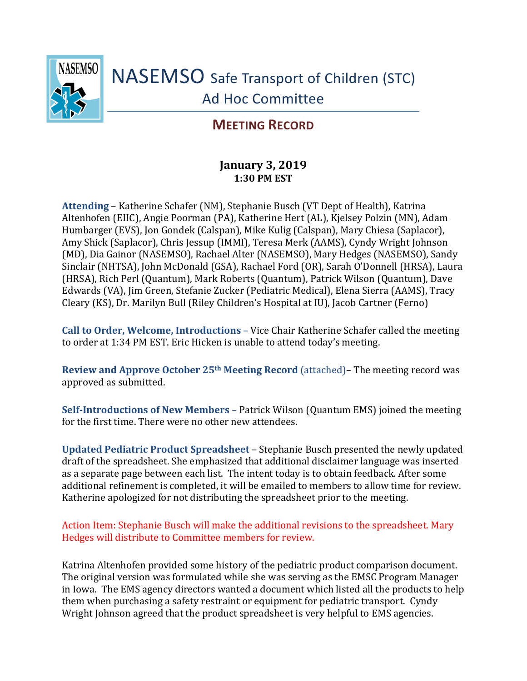

## **MEETING RECORD**

## **January 3, 2019 1:30 PM EST**

**Attending** – Katherine Schafer (NM), Stephanie Busch (VT Dept of Health), Katrina Altenhofen (EIIC), Angie Poorman (PA), Katherine Hert (AL), Kjelsey Polzin (MN), Adam Humbarger (EVS), Jon Gondek (Calspan), Mike Kulig (Calspan), Mary Chiesa (Saplacor), Amy Shick (Saplacor), Chris Jessup (IMMI), Teresa Merk (AAMS), Cyndy Wright Johnson (MD), Dia Gainor (NASEMSO), Rachael Alter (NASEMSO), Mary Hedges (NASEMSO), Sandy Sinclair (NHTSA), John McDonald (GSA), Rachael Ford (OR), Sarah O'Donnell (HRSA), Laura (HRSA), Rich Perl (Quantum), Mark Roberts (Quantum), Patrick Wilson (Quantum), Dave Edwards (VA), Jim Green, Stefanie Zucker (Pediatric Medical), Elena Sierra (AAMS), Tracy Cleary (KS), Dr. Marilyn Bull (Riley Children's Hospital at IU), Jacob Cartner (Ferno)

**Call to Order, Welcome, Introductions** – Vice Chair Katherine Schafer called the meeting to order at 1:34 PM EST. Eric Hicken is unable to attend today's meeting.

**Review and Approve October 25th Meeting Record** (attached)– The meeting record was approved as submitted.

**Self-Introductions of New Members** – Patrick Wilson (Quantum EMS) joined the meeting for the first time. There were no other new attendees.

**Updated Pediatric Product Spreadsheet** – Stephanie Busch presented the newly updated draft of the spreadsheet. She emphasized that additional disclaimer language was inserted as a separate page between each list. The intent today is to obtain feedback. After some additional refinement is completed, it will be emailed to members to allow time for review. Katherine apologized for not distributing the spreadsheet prior to the meeting.

Action Item: Stephanie Busch will make the additional revisions to the spreadsheet. Mary Hedges will distribute to Committee members for review.

Katrina Altenhofen provided some history of the pediatric product comparison document. The original version was formulated while she was serving as the EMSC Program Manager in Iowa. The EMS agency directors wanted a document which listed all the products to help them when purchasing a safety restraint or equipment for pediatric transport. Cyndy Wright Johnson agreed that the product spreadsheet is very helpful to EMS agencies.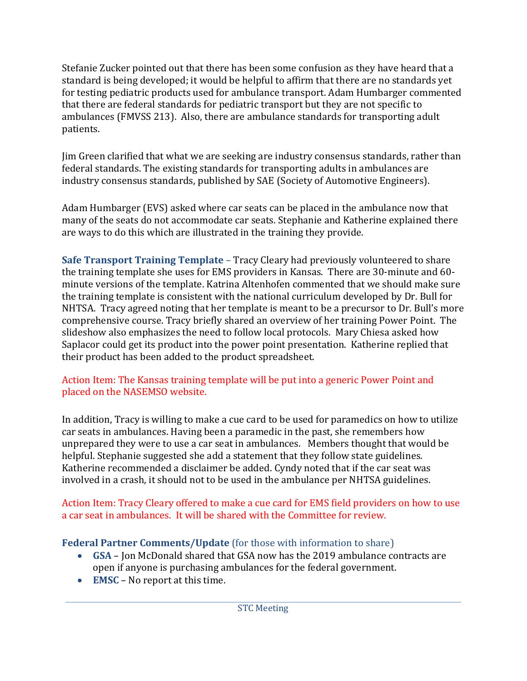Stefanie Zucker pointed out that there has been some confusion as they have heard that a standard is being developed; it would be helpful to affirm that there are no standards yet for testing pediatric products used for ambulance transport. Adam Humbarger commented that there are federal standards for pediatric transport but they are not specific to ambulances (FMVSS 213). Also, there are ambulance standards for transporting adult patients.

Jim Green clarified that what we are seeking are industry consensus standards, rather than federal standards. The existing standards for transporting adults in ambulances are industry consensus standards, published by SAE (Society of Automotive Engineers).

Adam Humbarger (EVS) asked where car seats can be placed in the ambulance now that many of the seats do not accommodate car seats. Stephanie and Katherine explained there are ways to do this which are illustrated in the training they provide.

**Safe Transport Training Template** – Tracy Cleary had previously volunteered to share the training template she uses for EMS providers in Kansas. There are 30-minute and 60 minute versions of the template. Katrina Altenhofen commented that we should make sure the training template is consistent with the national curriculum developed by Dr. Bull for NHTSA. Tracy agreed noting that her template is meant to be a precursor to Dr. Bull's more comprehensive course. Tracy briefly shared an overview of her training Power Point. The slideshow also emphasizes the need to follow local protocols. Mary Chiesa asked how Saplacor could get its product into the power point presentation. Katherine replied that their product has been added to the product spreadsheet.

## Action Item: The Kansas training template will be put into a generic Power Point and placed on the NASEMSO website.

In addition, Tracy is willing to make a cue card to be used for paramedics on how to utilize car seats in ambulances. Having been a paramedic in the past, she remembers how unprepared they were to use a car seat in ambulances. Members thought that would be helpful. Stephanie suggested she add a statement that they follow state guidelines. Katherine recommended a disclaimer be added. Cyndy noted that if the car seat was involved in a crash, it should not to be used in the ambulance per NHTSA guidelines.

Action Item: Tracy Cleary offered to make a cue card for EMS field providers on how to use a car seat in ambulances. It will be shared with the Committee for review.

## **Federal Partner Comments/Update** (for those with information to share)

- **GSA** Jon McDonald shared that GSA now has the 2019 ambulance contracts are open if anyone is purchasing ambulances for the federal government.
- **EMSC**  No report at this time.